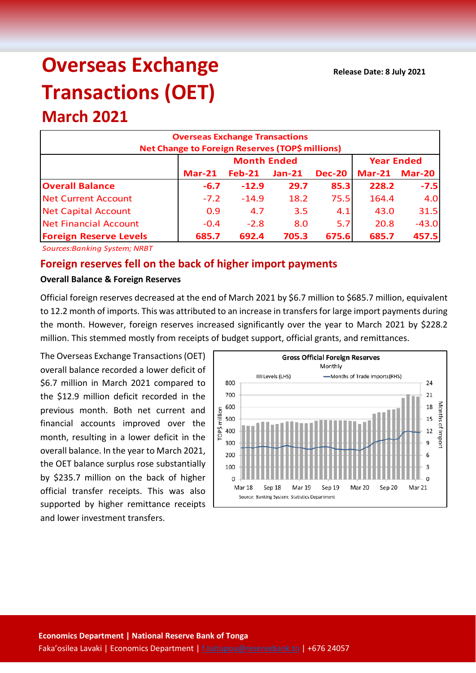# **Overseas Exchange Transactions (OET)**

# **March 2021**

| <b>Overseas Exchange Transactions</b><br><b>Net Change to Foreign Reserves (TOP\$ millions)</b> |          |                    |                   |               |          |               |  |  |
|-------------------------------------------------------------------------------------------------|----------|--------------------|-------------------|---------------|----------|---------------|--|--|
|                                                                                                 |          | <b>Month Ended</b> | <b>Year Ended</b> |               |          |               |  |  |
|                                                                                                 | $Mar-21$ | $Feb-21$           | $Jan-21$          | <b>Dec-20</b> | $Mar-21$ | <b>Mar-20</b> |  |  |
| <b>Overall Balance</b>                                                                          | $-6.7$   | $-12.9$            | 29.7              | 85.3          | 228.2    | $-7.5$        |  |  |
| <b>Net Current Account</b>                                                                      | $-7.2$   | $-14.9$            | 18.2              | 75.5          | 164.4    | 4.0           |  |  |
| <b>Net Capital Account</b>                                                                      | 0.9      | 4.7                | 3.5               | 4.1           | 43.0     | 31.5          |  |  |
| <b>Net Financial Account</b>                                                                    | $-0.4$   | $-2.8$             | 8.0               | 5.7           | 20.8     | $-43.0$       |  |  |
| <b>Foreign Reserve Levels</b>                                                                   | 685.7    | 692.4              | 705.3             | 675.6         | 685.7    | 457.5         |  |  |

*Sources:Banking System; NRBT*

# **Foreign reserves fell on the back of higher import payments**

#### **Overall Balance & Foreign Reserves**

Official foreign reserves decreased at the end of March 2021 by \$6.7 million to \$685.7 million, equivalent to 12.2 month of imports. This was attributed to an increase in transfers for large import payments during the month. However, foreign reserves increased significantly over the year to March 2021 by \$228.2 million. This stemmed mostly from receipts of budget support, official grants, and remittances.

The Overseas Exchange Transactions (OET) overall balance recorded a lower deficit of \$6.7 million in March 2021 compared to the \$12.9 million deficit recorded in the previous month. Both net current and financial accounts improved over the month, resulting in a lower deficit in the overall balance. In the year to March 2021, the OET balance surplus rose substantially by \$235.7 million on the back of higher official transfer receipts. This was also supported by higher remittance receipts and lower investment transfers.

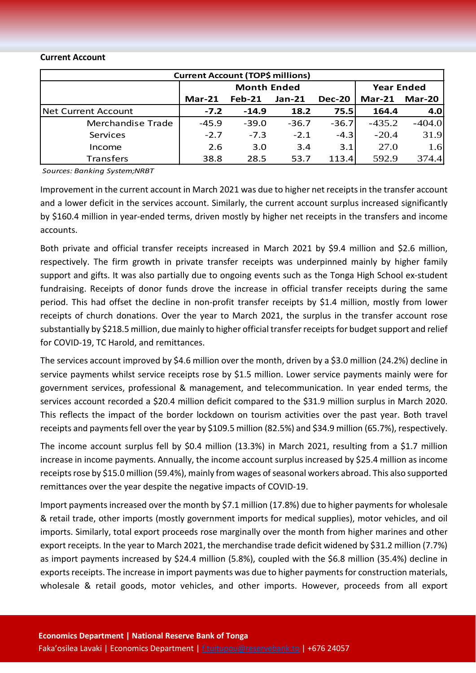#### **Current Account**

| <b>Current Account (TOP\$ millions)</b> |          |                    |                   |               |          |          |  |  |  |
|-----------------------------------------|----------|--------------------|-------------------|---------------|----------|----------|--|--|--|
|                                         |          | <b>Month Ended</b> | <b>Year Ended</b> |               |          |          |  |  |  |
|                                         | $Mar-21$ | $Feb-21$           | $Jan-21$          | <b>Dec-20</b> | $Mar-21$ | Mar-20   |  |  |  |
| Net Current Account                     | $-7.2$   | $-14.9$            | 18.2              | 75.5          | 164.4    | 4.0      |  |  |  |
| Merchandise Trade                       | $-45.9$  | $-39.0$            | $-36.7$           | $-36.7$       | $-435.2$ | $-404.0$ |  |  |  |
| Services                                | $-2.7$   | $-7.3$             | $-2.1$            | $-4.3$        | $-20.4$  | 31.9     |  |  |  |
| Income                                  | 2.6      | 3.0                | 3.4               | 3.1           | 27.0     | 1.6      |  |  |  |
| <b>Transfers</b>                        | 38.8     | 28.5               | 53.7              | 113.4         | 592.9    | 374.4    |  |  |  |

*Sources: Banking System;NRBT*

Improvement in the current account in March 2021 was due to higher net receiptsin the transfer account and a lower deficit in the services account. Similarly, the current account surplus increased significantly by \$160.4 million in year-ended terms, driven mostly by higher net receipts in the transfers and income accounts.

Both private and official transfer receipts increased in March 2021 by \$9.4 million and \$2.6 million, respectively. The firm growth in private transfer receipts was underpinned mainly by higher family support and gifts. It was also partially due to ongoing events such as the Tonga High School ex-student fundraising. Receipts of donor funds drove the increase in official transfer receipts during the same period. This had offset the decline in non-profit transfer receipts by \$1.4 million, mostly from lower receipts of church donations. Over the year to March 2021, the surplus in the transfer account rose substantially by \$218.5 million, due mainly to higher official transfer receiptsfor budget support and relief for COVID-19, TC Harold, and remittances.

The services account improved by \$4.6 million over the month, driven by a \$3.0 million (24.2%) decline in service payments whilst service receipts rose by \$1.5 million. Lower service payments mainly were for government services, professional & management, and telecommunication. In year ended terms, the services account recorded a \$20.4 million deficit compared to the \$31.9 million surplus in March 2020. This reflects the impact of the border lockdown on tourism activities over the past year. Both travel receipts and payments fell over the year by \$109.5 million (82.5%) and \$34.9 million (65.7%), respectively.

The income account surplus fell by \$0.4 million (13.3%) in March 2021, resulting from a \$1.7 million increase in income payments. Annually, the income account surplus increased by \$25.4 million as income receipts rose by \$15.0 million (59.4%), mainly from wages of seasonal workers abroad. This also supported remittances over the year despite the negative impacts of COVID-19.

Import payments increased over the month by \$7.1 million (17.8%) due to higher payments for wholesale & retail trade, other imports (mostly government imports for medical supplies), motor vehicles, and oil imports. Similarly, total export proceeds rose marginally over the month from higher marines and other export receipts. In the year to March 2021, the merchandise trade deficit widened by \$31.2 million (7.7%) as import payments increased by \$24.4 million (5.8%), coupled with the \$6.8 million (35.4%) decline in exports receipts. The increase in import payments was due to higher payments for construction materials, wholesale & retail goods, motor vehicles, and other imports. However, proceeds from all export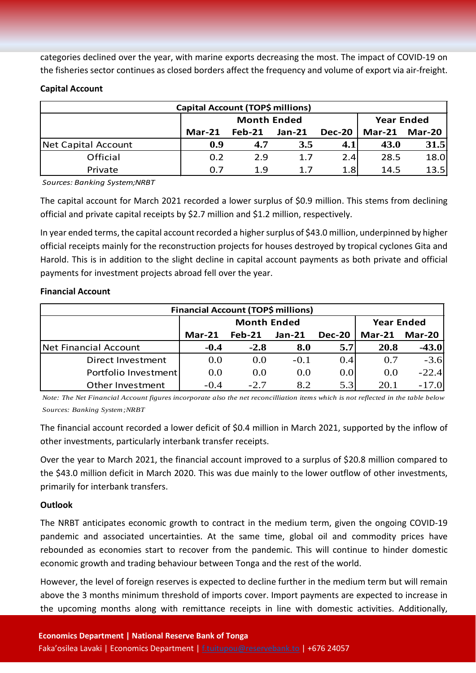categories declined over the year, with marine exports decreasing the most. The impact of COVID-19 on the fisheries sector continues as closed borders affect the frequency and volume of export via air-freight.

### **Capital Account**

| Capital Account (TOP\$ millions) |        |                    |                   |               |                         |      |  |  |
|----------------------------------|--------|--------------------|-------------------|---------------|-------------------------|------|--|--|
|                                  |        | <b>Month Ended</b> | <b>Year Ended</b> |               |                         |      |  |  |
|                                  | Mar-21 | $Feb-21$           | $Jan-21$          | <b>Dec-20</b> | Mar-20<br><b>Mar-21</b> |      |  |  |
| Net Capital Account              | 0.9    | 4.7                | 3.5               | $4.1^{\circ}$ | 43.0                    | 31.5 |  |  |
| Official                         | 0.2    | 2.9                | 1.7               | 2.4           | 28.5                    | 18.0 |  |  |
| Private                          | 0.7    | 1.9                | 1.7               | 1.8           | 14.5                    | 13.5 |  |  |

*Sources: Banking System;NRBT*

The capital account for March 2021 recorded a lower surplus of \$0.9 million. This stems from declining official and private capital receipts by \$2.7 million and \$1.2 million, respectively.

In year ended terms, the capital account recorded a higher surplus of \$43.0 million, underpinned by higher official receipts mainly for the reconstruction projects for houses destroyed by tropical cyclones Gita and Harold. This is in addition to the slight decline in capital account payments as both private and official payments for investment projects abroad fell over the year.

#### **Financial Account**

| <b>Financial Account (TOP\$ millions)</b> |          |                    |                   |               |          |          |  |  |  |
|-------------------------------------------|----------|--------------------|-------------------|---------------|----------|----------|--|--|--|
|                                           |          | <b>Month Ended</b> | <b>Year Ended</b> |               |          |          |  |  |  |
|                                           | $Mar-21$ | $Feb-21$           | $Jan-21$          | <b>Dec-20</b> | $Mar-21$ | Mar-20   |  |  |  |
| Net Financial Account                     | $-0.4$   | $-2.8$             | 8.0               | 5.7           | 20.8     | $-43.0$  |  |  |  |
| Direct Investment                         | 0.0      | 0.0                | $-0.1$            | 0.4           | 0.7      | $-3.6$   |  |  |  |
| Portfolio Investment                      | 0.0      | 0.0                | 0.0               | 0.0           | 0.0      | $-22.4$  |  |  |  |
| Other Investment                          | $-0.4$   | $-2.7$             | 8.2               | 5.3           | 20.1     | $-17.0'$ |  |  |  |

*Note: The Net Financial Account figures incorporate also the net reconcilliation items which is not reflected in the table below Sources: Banking System;NRBT*

The financial account recorded a lower deficit of \$0.4 million in March 2021, supported by the inflow of other investments, particularly interbank transfer receipts.

Over the year to March 2021, the financial account improved to a surplus of \$20.8 million compared to the \$43.0 million deficit in March 2020. This was due mainly to the lower outflow of other investments, primarily for interbank transfers.

## **Outlook**

The NRBT anticipates economic growth to contract in the medium term, given the ongoing COVID-19 pandemic and associated uncertainties. At the same time, global oil and commodity prices have rebounded as economies start to recover from the pandemic. This will continue to hinder domestic economic growth and trading behaviour between Tonga and the rest of the world.

However, the level of foreign reserves is expected to decline further in the medium term but will remain above the 3 months minimum threshold of imports cover. Import payments are expected to increase in the upcoming months along with remittance receipts in line with domestic activities. Additionally,